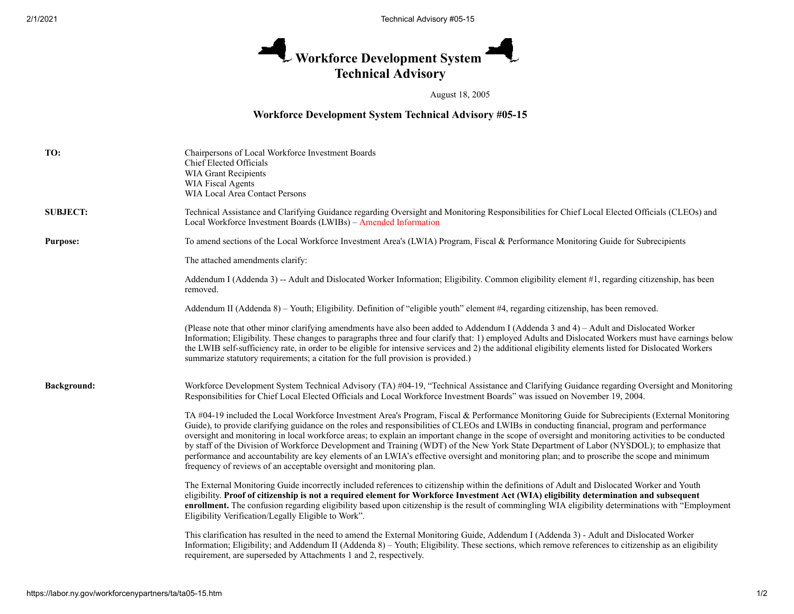## **Workforce Development System**  л **Technical Advisory**

## August 18, 2005

## **Workforce Development System Technical Advisory #05-15**

| TO:                | Chairpersons of Local Workforce Investment Boards<br>Chief Elected Officials<br><b>WIA Grant Recipients</b><br>WIA Fiscal Agents<br>WIA Local Area Contact Persons                                                                                                                                                                                                                                                                                                                                                                                                                                                                                                                                                                                                                                                            |
|--------------------|-------------------------------------------------------------------------------------------------------------------------------------------------------------------------------------------------------------------------------------------------------------------------------------------------------------------------------------------------------------------------------------------------------------------------------------------------------------------------------------------------------------------------------------------------------------------------------------------------------------------------------------------------------------------------------------------------------------------------------------------------------------------------------------------------------------------------------|
| <b>SUBJECT:</b>    | Technical Assistance and Clarifying Guidance regarding Oversight and Monitoring Responsibilities for Chief Local Elected Officials (CLEOs) and<br>Local Workforce Investment Boards (LWIBs) - Amended Information                                                                                                                                                                                                                                                                                                                                                                                                                                                                                                                                                                                                             |
| <b>Purpose:</b>    | To amend sections of the Local Workforce Investment Area's (LWIA) Program, Fiscal & Performance Monitoring Guide for Subrecipients                                                                                                                                                                                                                                                                                                                                                                                                                                                                                                                                                                                                                                                                                            |
|                    | The attached amendments clarify:                                                                                                                                                                                                                                                                                                                                                                                                                                                                                                                                                                                                                                                                                                                                                                                              |
|                    | Addendum I (Addenda 3) -- Adult and Dislocated Worker Information; Eligibility. Common eligibility element #1, regarding citizenship, has been<br>removed.                                                                                                                                                                                                                                                                                                                                                                                                                                                                                                                                                                                                                                                                    |
|                    | Addendum II (Addenda 8) - Youth; Eligibility. Definition of "eligible youth" element #4, regarding citizenship, has been removed.                                                                                                                                                                                                                                                                                                                                                                                                                                                                                                                                                                                                                                                                                             |
|                    | (Please note that other minor clarifying amendments have also been added to Addendum I (Addenda 3 and 4) – Adult and Dislocated Worker<br>Information; Eligibility. These changes to paragraphs three and four clarify that: 1) employed Adults and Dislocated Workers must have earnings below<br>the LWIB self-sufficiency rate, in order to be eligible for intensive services and 2) the additional eligibility elements listed for Dislocated Workers<br>summarize statutory requirements; a citation for the full provision is provided.)                                                                                                                                                                                                                                                                               |
| <b>Background:</b> | Workforce Development System Technical Advisory (TA) #04-19, "Technical Assistance and Clarifying Guidance regarding Oversight and Monitoring<br>Responsibilities for Chief Local Elected Officials and Local Workforce Investment Boards" was issued on November 19, 2004.                                                                                                                                                                                                                                                                                                                                                                                                                                                                                                                                                   |
|                    | TA #04-19 included the Local Workforce Investment Area's Program, Fiscal & Performance Monitoring Guide for Subrecipients (External Monitoring<br>Guide), to provide clarifying guidance on the roles and responsibilities of CLEOs and LWIBs in conducting financial, program and performance<br>oversight and monitoring in local workforce areas; to explain an important change in the scope of oversight and monitoring activities to be conducted<br>by staff of the Division of Workforce Development and Training (WDT) of the New York State Department of Labor (NYSDOL); to emphasize that<br>performance and accountability are key elements of an LWIA's effective oversight and monitoring plan; and to proscribe the scope and minimum<br>frequency of reviews of an acceptable oversight and monitoring plan. |
|                    | The External Monitoring Guide incorrectly included references to citizenship within the definitions of Adult and Dislocated Worker and Youth<br>eligibility. Proof of citizenship is not a required element for Workforce Investment Act (WIA) eligibility determination and subsequent<br>enrollment. The confusion regarding eligibility based upon citizenship is the result of commingling WIA eligibility determinations with "Employment"<br>Eligibility Verification/Legally Eligible to Work".                                                                                                                                                                                                                                                                                                                        |
|                    | This clarification has resulted in the need to amend the External Monitoring Guide, Addendum I (Addenda 3) - Adult and Dislocated Worker<br>Information; Eligibility; and Addendum II (Addenda 8) - Youth; Eligibility. These sections, which remove references to citizenship as an eligibility<br>requirement, are superseded by Attachments 1 and 2, respectively.                                                                                                                                                                                                                                                                                                                                                                                                                                                         |